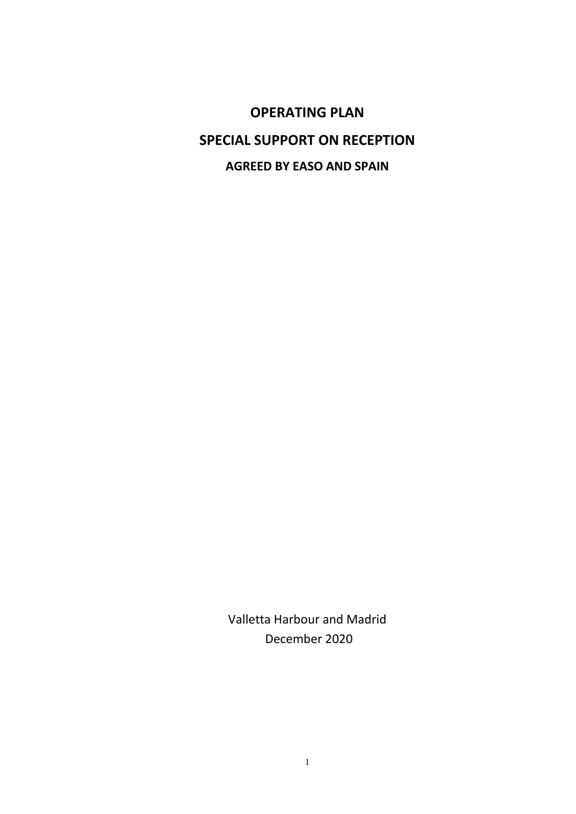**OPERATING PLAN SPECIAL SUPPORT ON RECEPTION AGREED BY EASO AND SPAIN**

> Valletta Harbour and Madrid December 2020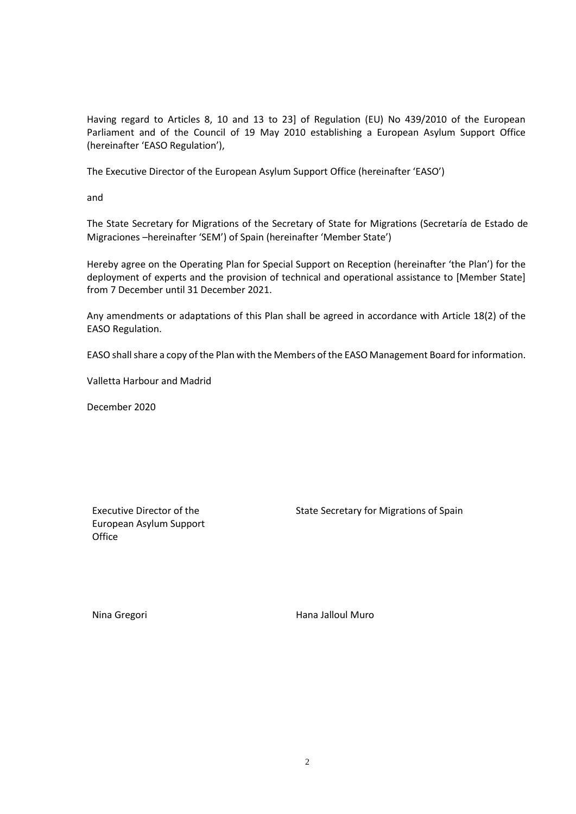Having regard to Articles 8, 10 and 13 to 23] of Regulation (EU) No 439/2010 of the European Parliament and of the Council of 19 May 2010 establishing a European Asylum Support Office (hereinafter 'EASO Regulation'),

The Executive Director of the European Asylum Support Office (hereinafter 'EASO')

and

The State Secretary for Migrations of the Secretary of State for Migrations (Secretaría de Estado de Migraciones –hereinafter 'SEM') of Spain (hereinafter 'Member State')

Hereby agree on the Operating Plan for Special Support on Reception (hereinafter 'the Plan') for the deployment of experts and the provision of technical and operational assistance to [Member State] from 7 December until 31 December 2021.

Any amendments or adaptations of this Plan shall be agreed in accordance with Article 18(2) of the EASO Regulation.

EASO shall share a copy of the Plan with the Members of the EASO Management Board for information.

Valletta Harbour and Madrid

December 2020

Executive Director of the European Asylum Support **Office** 

State Secretary for Migrations of Spain

Nina Gregori **Music Access 1986** Hana Jalloul Muro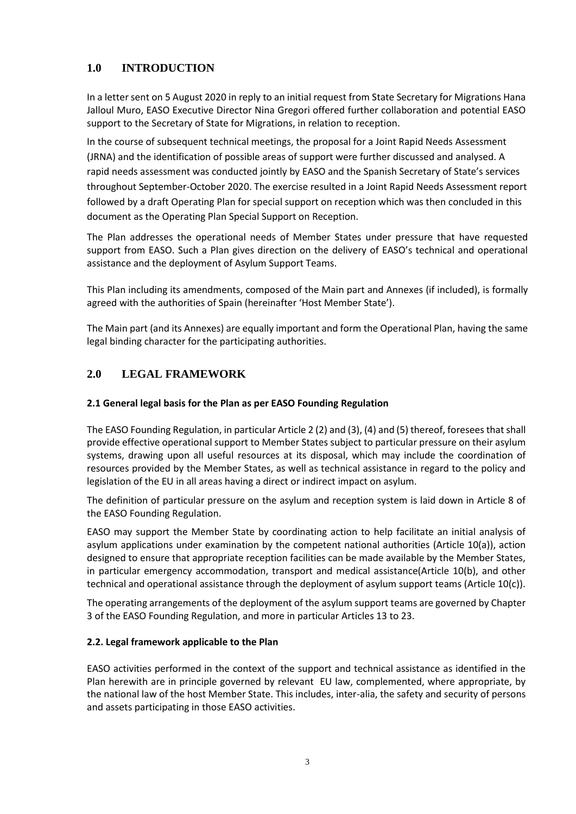## **1.0 INTRODUCTION**

In a letter sent on 5 August 2020 in reply to an initial request from State Secretary for Migrations Hana Jalloul Muro, EASO Executive Director Nina Gregori offered further collaboration and potential EASO support to the Secretary of State for Migrations, in relation to reception.

In the course of subsequent technical meetings, the proposal for a Joint Rapid Needs Assessment (JRNA) and the identification of possible areas of support were further discussed and analysed. A rapid needs assessment was conducted jointly by EASO and the Spanish Secretary of State's services throughout September-October 2020. The exercise resulted in a Joint Rapid Needs Assessment report followed by a draft Operating Plan for special support on reception which was then concluded in this document as the Operating Plan Special Support on Reception.

The Plan addresses the operational needs of Member States under pressure that have requested support from EASO. Such a Plan gives direction on the delivery of EASO's technical and operational assistance and the deployment of Asylum Support Teams.

This Plan including its amendments, composed of the Main part and Annexes (if included), is formally agreed with the authorities of Spain (hereinafter 'Host Member State').

The Main part (and its Annexes) are equally important and form the Operational Plan, having the same legal binding character for the participating authorities.

## **2.0 LEGAL FRAMEWORK**

#### **2.1 General legal basis for the Plan as per EASO Founding Regulation**

The EASO Founding Regulation, in particular Article 2 (2) and (3), (4) and (5) thereof, foresees that shall provide effective operational support to Member States subject to particular pressure on their asylum systems, drawing upon all useful resources at its disposal, which may include the coordination of resources provided by the Member States, as well as technical assistance in regard to the policy and legislation of the EU in all areas having a direct or indirect impact on asylum.

The definition of particular pressure on the asylum and reception system is laid down in Article 8 of the EASO Founding Regulation.

EASO may support the Member State by coordinating action to help facilitate an initial analysis of asylum applications under examination by the competent national authorities (Article 10(a)), action designed to ensure that appropriate reception facilities can be made available by the Member States, in particular emergency accommodation, transport and medical assistance(Article 10(b), and other technical and operational assistance through the deployment of asylum support teams (Article 10(c)).

The operating arrangements of the deployment of the asylum support teams are governed by Chapter 3 of the EASO Founding Regulation, and more in particular Articles 13 to 23.

#### **2.2. Legal framework applicable to the Plan**

EASO activities performed in the context of the support and technical assistance as identified in the Plan herewith are in principle governed by relevant EU law, complemented, where appropriate, by the national law of the host Member State. This includes, inter-alia, the safety and security of persons and assets participating in those EASO activities.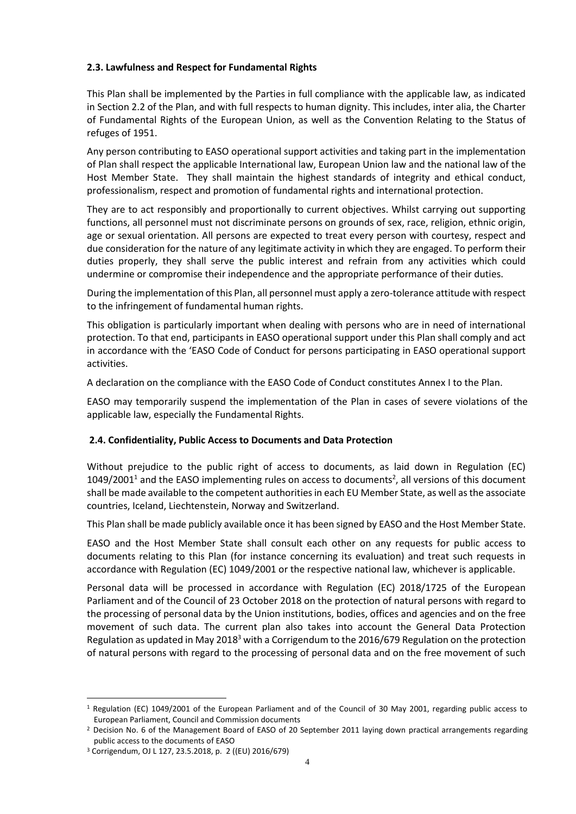#### **2.3. Lawfulness and Respect for Fundamental Rights**

This Plan shall be implemented by the Parties in full compliance with the applicable law, as indicated in Section 2.2 of the Plan, and with full respects to human dignity. This includes, inter alia, the Charter of Fundamental Rights of the European Union, as well as the Convention Relating to the Status of refuges of 1951.

Any person contributing to EASO operational support activities and taking part in the implementation of Plan shall respect the applicable International law, European Union law and the national law of the Host Member State. They shall maintain the highest standards of integrity and ethical conduct, professionalism, respect and promotion of fundamental rights and international protection.

They are to act responsibly and proportionally to current objectives. Whilst carrying out supporting functions, all personnel must not discriminate persons on grounds of sex, race, religion, ethnic origin, age or sexual orientation. All persons are expected to treat every person with courtesy, respect and due consideration for the nature of any legitimate activity in which they are engaged. To perform their duties properly, they shall serve the public interest and refrain from any activities which could undermine or compromise their independence and the appropriate performance of their duties.

During the implementation of this Plan, all personnel must apply a zero-tolerance attitude with respect to the infringement of fundamental human rights.

This obligation is particularly important when dealing with persons who are in need of international protection. To that end, participants in EASO operational support under this Plan shall comply and act in accordance with the 'EASO Code of Conduct for persons participating in EASO operational support activities.

A declaration on the compliance with the EASO Code of Conduct constitutes Annex I to the Plan.

EASO may temporarily suspend the implementation of the Plan in cases of severe violations of the applicable law, especially the Fundamental Rights.

## **2.4. Confidentiality, Public Access to Documents and Data Protection**

Without prejudice to the public right of access to documents, as laid down in Regulation (EC)  $1049/2001<sup>1</sup>$  and the EASO implementing rules on access to documents<sup>2</sup>, all versions of this document shall be made available to the competent authorities in each EU Member State, as well as the associate countries, Iceland, Liechtenstein, Norway and Switzerland.

This Plan shall be made publicly available once it has been signed by EASO and the Host Member State.

EASO and the Host Member State shall consult each other on any requests for public access to documents relating to this Plan (for instance concerning its evaluation) and treat such requests in accordance with Regulation (EC) 1049/2001 or the respective national law, whichever is applicable.

Personal data will be processed in accordance with Regulation (EC) 2018/1725 of the European Parliament and of the Council of 23 October 2018 on the protection of natural persons with regard to the processing of personal data by the Union institutions, bodies, offices and agencies and on the free movement of such data. The current plan also takes into account the General Data Protection Regulation as updated in May 2018<sup>3</sup> with a Corrigendum to the 2016/679 Regulation on the protection of natural persons with regard to the processing of personal data and on the free movement of such

<sup>1</sup> Regulation (EC) 1049/2001 of the European Parliament and of the Council of 30 May 2001, regarding public access to European Parliament, Council and Commission documents

<sup>&</sup>lt;sup>2</sup> Decision No. 6 of the Management Board of EASO of 20 September 2011 laying down practical arrangements regarding public access to the documents of EASO

<sup>3</sup> Corrigendum, OJ L 127, 23.5.2018, p. 2 ((EU) 2016/679)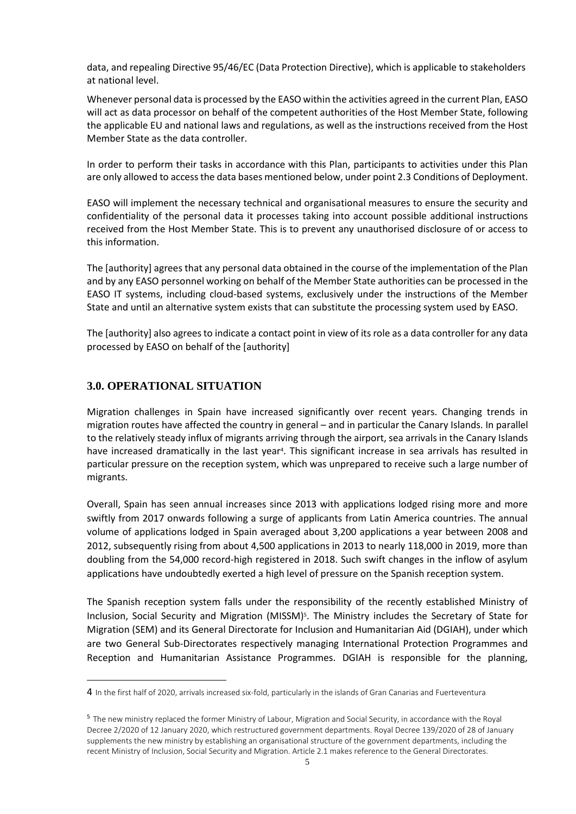data, and repealing Directive 95/46/EC (Data Protection Directive), which is applicable to stakeholders at national level.

Whenever personal data is processed by the EASO within the activities agreed in the current Plan, EASO will act as data processor on behalf of the competent authorities of the Host Member State, following the applicable EU and national laws and regulations, as well as the instructions received from the Host Member State as the data controller.

In order to perform their tasks in accordance with this Plan, participants to activities under this Plan are only allowed to access the data bases mentioned below, under point 2.3 Conditions of Deployment.

EASO will implement the necessary technical and organisational measures to ensure the security and confidentiality of the personal data it processes taking into account possible additional instructions received from the Host Member State. This is to prevent any unauthorised disclosure of or access to this information.

The [authority] agrees that any personal data obtained in the course of the implementation of the Plan and by any EASO personnel working on behalf of the Member State authorities can be processed in the EASO IT systems, including cloud-based systems, exclusively under the instructions of the Member State and until an alternative system exists that can substitute the processing system used by EASO.

The [authority] also agrees to indicate a contact point in view of its role as a data controller for any data processed by EASO on behalf of the [authority]

## **3.0. OPERATIONAL SITUATION**

Migration challenges in Spain have increased significantly over recent years. Changing trends in migration routes have affected the country in general – and in particular the Canary Islands. In parallel to the relatively steady influx of migrants arriving through the airport, sea arrivals in the Canary Islands have increased dramatically in the last year<sup>4</sup>. This significant increase in sea arrivals has resulted in particular pressure on the reception system, which was unprepared to receive such a large number of migrants.

Overall, Spain has seen annual increases since 2013 with applications lodged rising more and more swiftly from 2017 onwards following a surge of applicants from Latin America countries. The annual volume of applications lodged in Spain averaged about 3,200 applications a year between 2008 and 2012, subsequently rising from about 4,500 applications in 2013 to nearly 118,000 in 2019, more than doubling from the 54,000 record-high registered in 2018. Such swift changes in the inflow of asylum applications have undoubtedly exerted a high level of pressure on the Spanish reception system.

The Spanish reception system falls under the responsibility of the recently established Ministry of Inclusion, Social Security and Migration (MISSM)<sup>5</sup>. The Ministry includes the Secretary of State for Migration (SEM) and its General Directorate for Inclusion and Humanitarian Aid (DGIAH), under which are two General Sub-Directorates respectively managing International Protection Programmes and Reception and Humanitarian Assistance Programmes. DGIAH is responsible for the planning,

<sup>4</sup> In the first half of 2020, arrivals increased six-fold, particularly in the islands of Gran Canarias and Fuerteventura

<sup>5</sup> The new ministry replaced the former Ministry of Labour, Migration and Social Security, in accordance with the Royal Decree 2/2020 of 12 January 2020, which restructured government departments. Royal Decree 139/2020 of 28 of January supplements the new ministry by establishing an organisational structure of the government departments, including the recent Ministry of Inclusion, Social Security and Migration. Article 2.1 makes reference to the General Directorates.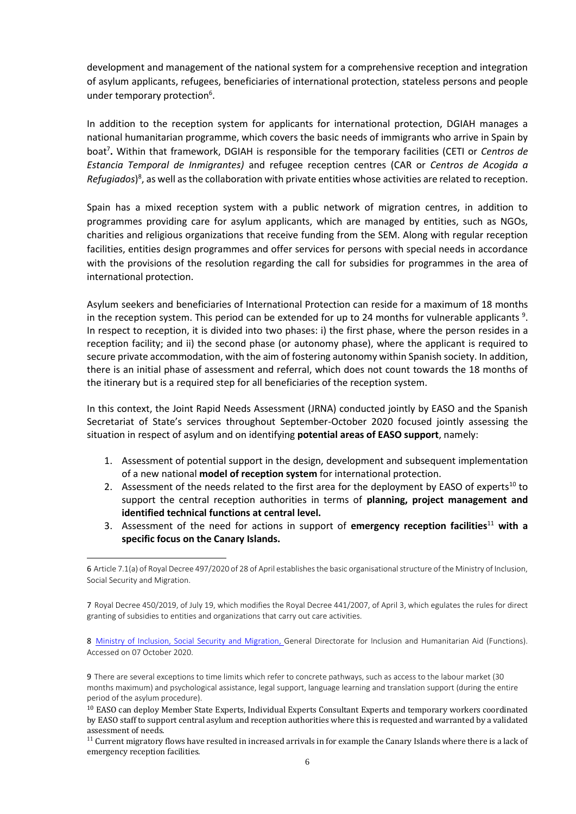development and management of the national system for a comprehensive reception and integration of asylum applicants, refugees, beneficiaries of international protection, stateless persons and people under temporary protection<sup>6</sup>.

In addition to the reception system for applicants for international protection, DGIAH manages a national humanitarian programme, which covers the basic needs of immigrants who arrive in Spain by boat<sup>7</sup> **.** Within that framework, DGIAH is responsible for the temporary facilities (CETI or *Centros de Estancia Temporal de Inmigrantes)* and refugee reception centres (CAR or *Centros de Acogida a*  Refugiados)<sup>8</sup>, as well as the collaboration with private entities whose activities are related to reception.

Spain has a mixed reception system with a public network of migration centres, in addition to programmes providing care for asylum applicants, which are managed by entities, such as NGOs, charities and religious organizations that receive funding from the SEM. Along with regular reception facilities, entities design programmes and offer services for persons with special needs in accordance with the provisions of the resolution regarding the call for subsidies for programmes in the area of international protection.

Asylum seekers and beneficiaries of International Protection can reside for a maximum of 18 months in the reception system. This period can be extended for up to 24 months for vulnerable applicants  $9$ . In respect to reception, it is divided into two phases: i) the first phase, where the person resides in a reception facility; and ii) the second phase (or autonomy phase), where the applicant is required to secure private accommodation, with the aim of fostering autonomy within Spanish society. In addition, there is an initial phase of assessment and referral, which does not count towards the 18 months of the itinerary but is a required step for all beneficiaries of the reception system.

In this context, the Joint Rapid Needs Assessment (JRNA) conducted jointly by EASO and the Spanish Secretariat of State's services throughout September-October 2020 focused jointly assessing the situation in respect of asylum and on identifying **potential areas of EASO support**, namely:

- 1. Assessment of potential support in the design, development and subsequent implementation of a new national **model of reception system** for international protection.
- 2. Assessment of the needs related to the first area for the deployment by EASO of experts<sup>10</sup> to support the central reception authorities in terms of **planning, project management and identified technical functions at central level.**
- 3. Assessment of the need for actions in support of **emergency reception facilities**<sup>11</sup> **with a specific focus on the Canary Islands.**

8 [Ministry of Inclusion, Social Security and Migration, G](http://www.inclusion.gob.es/es/organizacion/organigrama/migraciones/contenido/OM99.htm)eneral Directorate for Inclusion and Humanitarian Aid (Functions). Accessed on 07 October 2020.

9 There are several exceptions to time limits which refer to concrete pathways, such as access to the labour market (30 months maximum) and psychological assistance, legal support, language learning and translation support (during the entire period of the asylum procedure).

<sup>6</sup> Article 7.1(a) of Royal Decree 497/2020 of 28 of April establishes the basic organisational structure of the Ministry of Inclusion, Social Security and Migration.

<sup>7</sup> Royal Decree 450/2019, of July 19, which modifies the Royal Decree 441/2007, of April 3, which egulates the rules for direct granting of subsidies to entities and organizations that carry out care activities.

<sup>&</sup>lt;sup>10</sup> EASO can deploy Member State Experts, Individual Experts Consultant Experts and temporary workers coordinated by EASO staff to support central asylum and reception authorities where this is requested and warranted by a validated assessment of needs.

 $11$  Current migratory flows have resulted in increased arrivals in for example the Canary Islands where there is a lack of emergency reception facilities.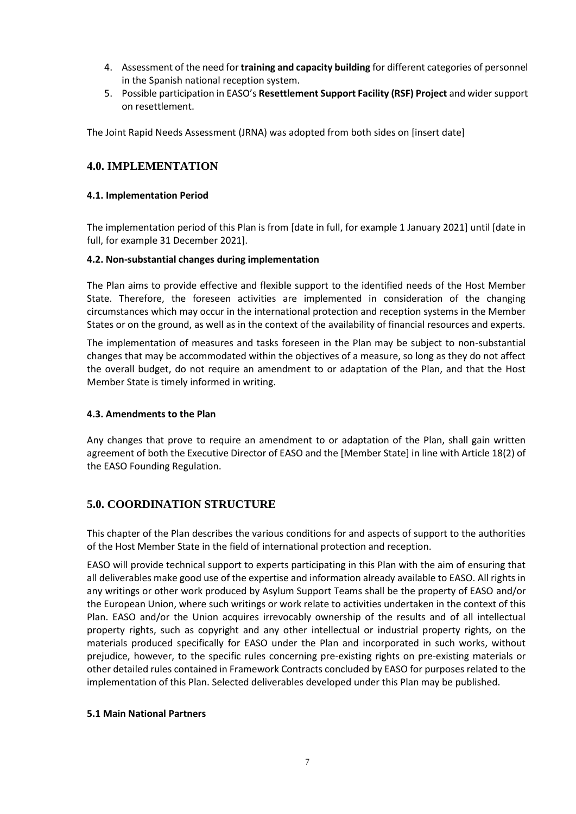- 4. Assessment of the need for **training and capacity building** for different categories of personnel in the Spanish national reception system.
- 5. Possible participation in EASO's **Resettlement Support Facility (RSF) Project** and wider support on resettlement.

The Joint Rapid Needs Assessment (JRNA) was adopted from both sides on [insert date]

## **4.0. IMPLEMENTATION**

#### **4.1. Implementation Period**

The implementation period of this Plan is from [date in full, for example 1 January 2021] until [date in full, for example 31 December 2021].

#### **4.2. Non-substantial changes during implementation**

The Plan aims to provide effective and flexible support to the identified needs of the Host Member State. Therefore, the foreseen activities are implemented in consideration of the changing circumstances which may occur in the international protection and reception systems in the Member States or on the ground, as well as in the context of the availability of financial resources and experts.

The implementation of measures and tasks foreseen in the Plan may be subject to non-substantial changes that may be accommodated within the objectives of a measure, so long as they do not affect the overall budget, do not require an amendment to or adaptation of the Plan, and that the Host Member State is timely informed in writing.

#### **4.3. Amendments to the Plan**

Any changes that prove to require an amendment to or adaptation of the Plan, shall gain written agreement of both the Executive Director of EASO and the [Member State] in line with Article 18(2) of the EASO Founding Regulation.

## **5.0. COORDINATION STRUCTURE**

This chapter of the Plan describes the various conditions for and aspects of support to the authorities of the Host Member State in the field of international protection and reception.

EASO will provide technical support to experts participating in this Plan with the aim of ensuring that all deliverables make good use of the expertise and information already available to EASO. All rights in any writings or other work produced by Asylum Support Teams shall be the property of EASO and/or the European Union, where such writings or work relate to activities undertaken in the context of this Plan. EASO and/or the Union acquires irrevocably ownership of the results and of all intellectual property rights, such as copyright and any other intellectual or industrial property rights, on the materials produced specifically for EASO under the Plan and incorporated in such works, without prejudice, however, to the specific rules concerning pre-existing rights on pre-existing materials or other detailed rules contained in Framework Contracts concluded by EASO for purposes related to the implementation of this Plan. Selected deliverables developed under this Plan may be published.

#### **5.1 Main National Partners**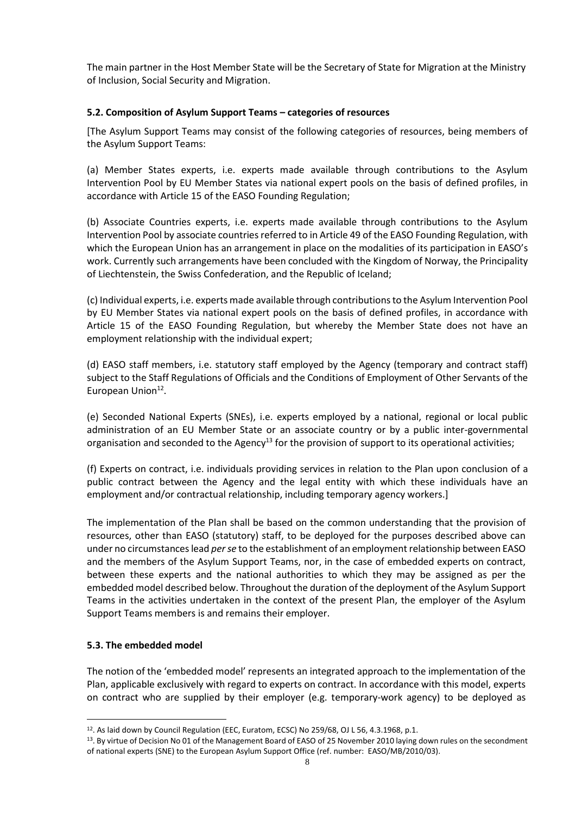The main partner in the Host Member State will be the Secretary of State for Migration at the Ministry of Inclusion, Social Security and Migration.

#### **5.2. Composition of Asylum Support Teams – categories of resources**

[The Asylum Support Teams may consist of the following categories of resources, being members of the Asylum Support Teams:

(a) Member States experts, i.e. experts made available through contributions to the Asylum Intervention Pool by EU Member States via national expert pools on the basis of defined profiles, in accordance with Article 15 of the EASO Founding Regulation;

(b) Associate Countries experts, i.e. experts made available through contributions to the Asylum Intervention Pool by associate countries referred to in Article 49 of the EASO Founding Regulation, with which the European Union has an arrangement in place on the modalities of its participation in EASO's work. Currently such arrangements have been concluded with the Kingdom of Norway, the Principality of Liechtenstein, the Swiss Confederation, and the Republic of Iceland;

(c) Individual experts, i.e. experts made available through contributions to the Asylum Intervention Pool by EU Member States via national expert pools on the basis of defined profiles, in accordance with Article 15 of the EASO Founding Regulation, but whereby the Member State does not have an employment relationship with the individual expert;

(d) EASO staff members, i.e. statutory staff employed by the Agency (temporary and contract staff) subject to the Staff Regulations of Officials and the Conditions of Employment of Other Servants of the European Union<sup>12</sup>.

(e) Seconded National Experts (SNEs), i.e. experts employed by a national, regional or local public administration of an EU Member State or an associate country or by a public inter-governmental organisation and seconded to the Agency<sup>13</sup> for the provision of support to its operational activities;

(f) Experts on contract, i.e. individuals providing services in relation to the Plan upon conclusion of a public contract between the Agency and the legal entity with which these individuals have an employment and/or contractual relationship, including temporary agency workers.]

The implementation of the Plan shall be based on the common understanding that the provision of resources, other than EASO (statutory) staff, to be deployed for the purposes described above can under no circumstances lead *per se* to the establishment of an employment relationship between EASO and the members of the Asylum Support Teams, nor, in the case of embedded experts on contract, between these experts and the national authorities to which they may be assigned as per the embedded model described below. Throughout the duration of the deployment of the Asylum Support Teams in the activities undertaken in the context of the present Plan, the employer of the Asylum Support Teams members is and remains their employer.

#### **5.3. The embedded model**

The notion of the 'embedded model' represents an integrated approach to the implementation of the Plan, applicable exclusively with regard to experts on contract. In accordance with this model, experts on contract who are supplied by their employer (e.g. temporary-work agency) to be deployed as

<sup>&</sup>lt;sup>12</sup>. As laid down by Council Regulation (EEC, Euratom, ECSC) No 259/68, OJ L 56, 4.3.1968, p.1.

<sup>&</sup>lt;sup>13</sup>. By virtue of Decision No 01 of the Management Board of EASO of 25 November 2010 laying down rules on the secondment of national experts (SNE) to the European Asylum Support Office (ref. number: EASO/MB/2010/03).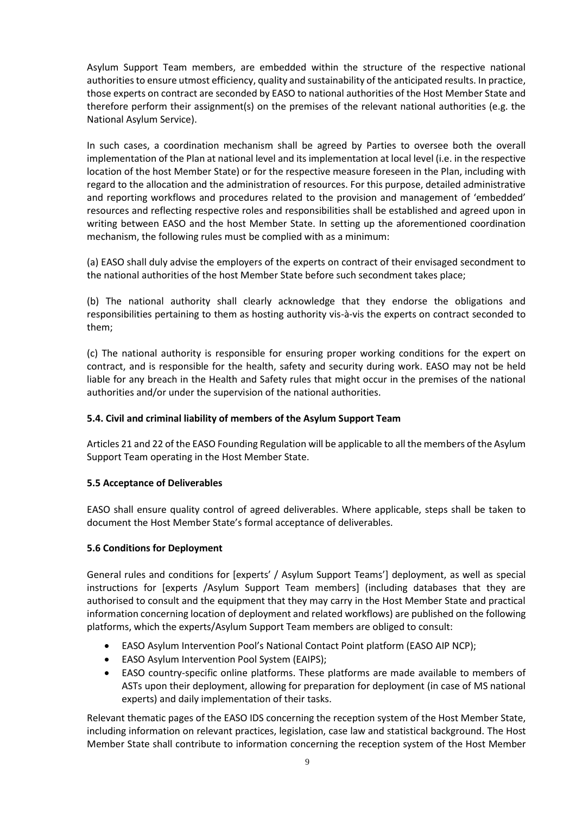Asylum Support Team members, are embedded within the structure of the respective national authorities to ensure utmost efficiency, quality and sustainability of the anticipated results. In practice, those experts on contract are seconded by EASO to national authorities of the Host Member State and therefore perform their assignment(s) on the premises of the relevant national authorities (e.g. the National Asylum Service).

In such cases, a coordination mechanism shall be agreed by Parties to oversee both the overall implementation of the Plan at national level and its implementation at local level (i.e. in the respective location of the host Member State) or for the respective measure foreseen in the Plan, including with regard to the allocation and the administration of resources. For this purpose, detailed administrative and reporting workflows and procedures related to the provision and management of 'embedded' resources and reflecting respective roles and responsibilities shall be established and agreed upon in writing between EASO and the host Member State. In setting up the aforementioned coordination mechanism, the following rules must be complied with as a minimum:

(a) EASO shall duly advise the employers of the experts on contract of their envisaged secondment to the national authorities of the host Member State before such secondment takes place;

(b) The national authority shall clearly acknowledge that they endorse the obligations and responsibilities pertaining to them as hosting authority vis-à-vis the experts on contract seconded to them;

(c) The national authority is responsible for ensuring proper working conditions for the expert on contract, and is responsible for the health, safety and security during work. EASO may not be held liable for any breach in the Health and Safety rules that might occur in the premises of the national authorities and/or under the supervision of the national authorities.

## **5.4. Civil and criminal liability of members of the Asylum Support Team**

Articles 21 and 22 of the EASO Founding Regulation will be applicable to all the members of the Asylum Support Team operating in the Host Member State.

#### **5.5 Acceptance of Deliverables**

EASO shall ensure quality control of agreed deliverables. Where applicable, steps shall be taken to document the Host Member State's formal acceptance of deliverables.

#### **5.6 Conditions for Deployment**

General rules and conditions for [experts' / Asylum Support Teams'] deployment, as well as special instructions for [experts /Asylum Support Team members] (including databases that they are authorised to consult and the equipment that they may carry in the Host Member State and practical information concerning location of deployment and related workflows) are published on the following platforms, which the experts/Asylum Support Team members are obliged to consult:

- EASO Asylum Intervention Pool's National Contact Point platform (EASO AIP NCP);
- EASO Asylum Intervention Pool System (EAIPS);
- EASO country-specific online platforms. These platforms are made available to members of ASTs upon their deployment, allowing for preparation for deployment (in case of MS national experts) and daily implementation of their tasks.

Relevant thematic pages of the EASO IDS concerning the reception system of the Host Member State, including information on relevant practices, legislation, case law and statistical background. The Host Member State shall contribute to information concerning the reception system of the Host Member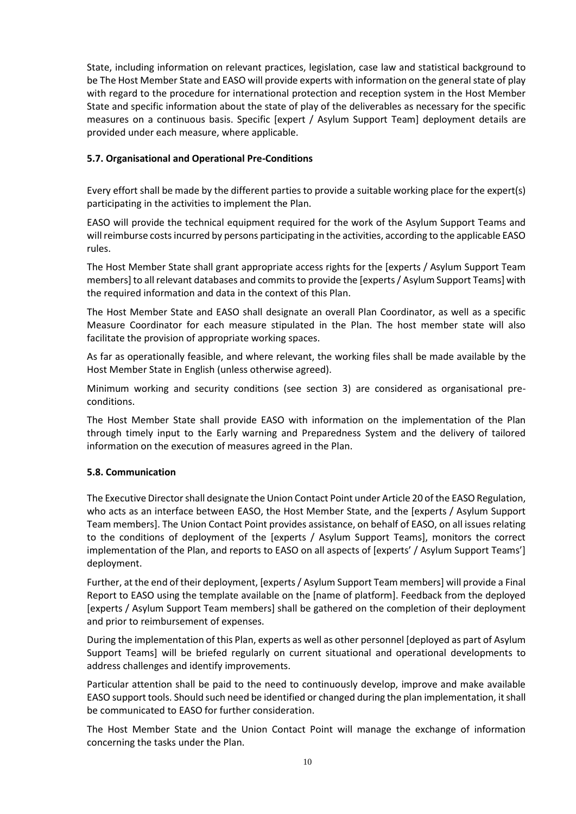State, including information on relevant practices, legislation, case law and statistical background to be The Host Member State and EASO will provide experts with information on the general state of play with regard to the procedure for international protection and reception system in the Host Member State and specific information about the state of play of the deliverables as necessary for the specific measures on a continuous basis. Specific [expert / Asylum Support Team] deployment details are provided under each measure, where applicable.

#### **5.7. Organisational and Operational Pre-Conditions**

Every effort shall be made by the different parties to provide a suitable working place for the expert(s) participating in the activities to implement the Plan.

EASO will provide the technical equipment required for the work of the Asylum Support Teams and will reimburse costs incurred by persons participating in the activities, according to the applicable EASO rules.

The Host Member State shall grant appropriate access rights for the [experts / Asylum Support Team members] to all relevant databases and commits to provide the [experts / Asylum Support Teams] with the required information and data in the context of this Plan.

The Host Member State and EASO shall designate an overall Plan Coordinator, as well as a specific Measure Coordinator for each measure stipulated in the Plan. The host member state will also facilitate the provision of appropriate working spaces.

As far as operationally feasible, and where relevant, the working files shall be made available by the Host Member State in English (unless otherwise agreed).

Minimum working and security conditions (see section 3) are considered as organisational preconditions.

The Host Member State shall provide EASO with information on the implementation of the Plan through timely input to the Early warning and Preparedness System and the delivery of tailored information on the execution of measures agreed in the Plan.

#### **5.8. Communication**

The Executive Director shall designate the Union Contact Point under Article 20 of the EASO Regulation, who acts as an interface between EASO, the Host Member State, and the [experts / Asylum Support Team members]. The Union Contact Point provides assistance, on behalf of EASO, on all issues relating to the conditions of deployment of the [experts / Asylum Support Teams], monitors the correct implementation of the Plan, and reports to EASO on all aspects of [experts' / Asylum Support Teams'] deployment.

Further, at the end of their deployment, [experts / Asylum Support Team members] will provide a Final Report to EASO using the template available on the [name of platform]. Feedback from the deployed [experts / Asylum Support Team members] shall be gathered on the completion of their deployment and prior to reimbursement of expenses.

During the implementation of this Plan, experts as well as other personnel [deployed as part of Asylum Support Teams] will be briefed regularly on current situational and operational developments to address challenges and identify improvements.

Particular attention shall be paid to the need to continuously develop, improve and make available EASO support tools. Should such need be identified or changed during the plan implementation, it shall be communicated to EASO for further consideration.

The Host Member State and the Union Contact Point will manage the exchange of information concerning the tasks under the Plan.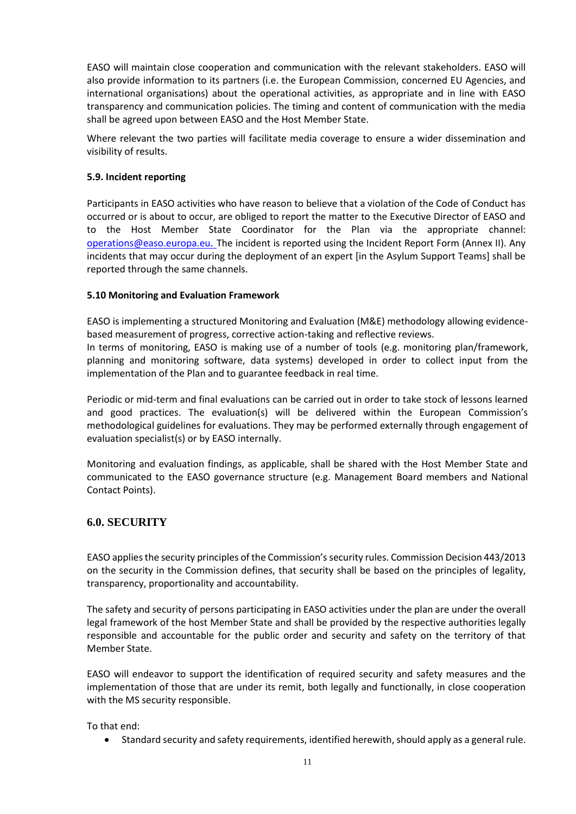EASO will maintain close cooperation and communication with the relevant stakeholders. EASO will also provide information to its partners (i.e. the European Commission, concerned EU Agencies, and international organisations) about the operational activities, as appropriate and in line with EASO transparency and communication policies. The timing and content of communication with the media shall be agreed upon between EASO and the Host Member State.

Where relevant the two parties will facilitate media coverage to ensure a wider dissemination and visibility of results.

#### **5.9. Incident reporting**

Participants in EASO activities who have reason to believe that a violation of the Code of Conduct has occurred or is about to occur, are obliged to report the matter to the Executive Director of EASO and to the Host Member State Coordinator for the Plan via the appropriate [channel:](mailto:channel:%20%20%20operations@easo.europa.eu)  [operations@easo.europa.eu](mailto:channel:%20%20%20operations@easo.europa.eu). The incident is reported using the Incident Report Form (Annex II). Any incidents that may occur during the deployment of an expert [in the Asylum Support Teams] shall be reported through the same channels.

#### **5.10 Monitoring and Evaluation Framework**

EASO is implementing a structured Monitoring and Evaluation (M&E) methodology allowing evidencebased measurement of progress, corrective action-taking and reflective reviews.

In terms of monitoring, EASO is making use of a number of tools (e.g. monitoring plan/framework, planning and monitoring software, data systems) developed in order to collect input from the implementation of the Plan and to guarantee feedback in real time.

Periodic or mid-term and final evaluations can be carried out in order to take stock of lessons learned and good practices. The evaluation(s) will be delivered within the European Commission's methodological guidelines for evaluations. They may be performed externally through engagement of evaluation specialist(s) or by EASO internally.

Monitoring and evaluation findings, as applicable, shall be shared with the Host Member State and communicated to the EASO governance structure (e.g. Management Board members and National Contact Points).

## **6.0. SECURITY**

EASO applies the security principles of the Commission's security rules. Commission Decision 443/2013 on the security in the Commission defines, that security shall be based on the principles of legality, transparency, proportionality and accountability.

The safety and security of persons participating in EASO activities under the plan are under the overall legal framework of the host Member State and shall be provided by the respective authorities legally responsible and accountable for the public order and security and safety on the territory of that Member State.

EASO will endeavor to support the identification of required security and safety measures and the implementation of those that are under its remit, both legally and functionally, in close cooperation with the MS security responsible.

To that end:

• Standard security and safety requirements, identified herewith, should apply as a general rule.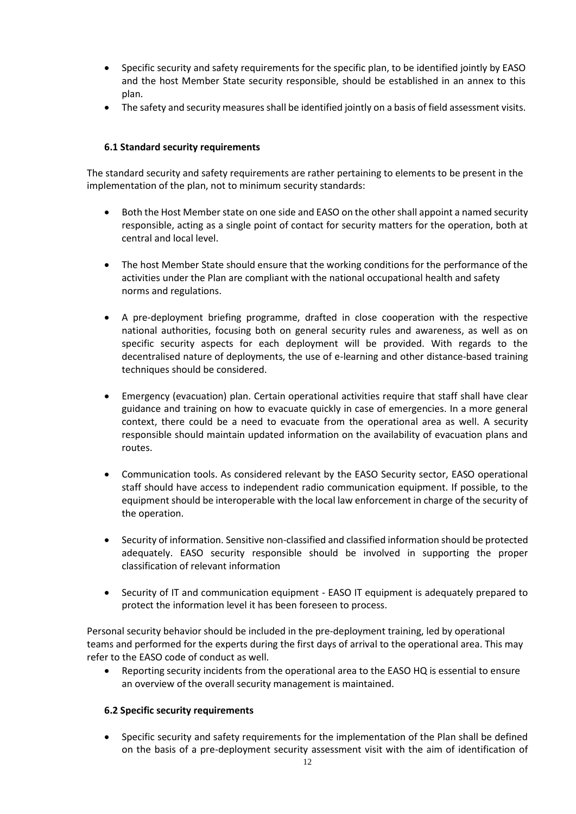- Specific security and safety requirements for the specific plan, to be identified jointly by EASO and the host Member State security responsible, should be established in an annex to this plan.
- The safety and security measures shall be identified jointly on a basis of field assessment visits.

## **6.1 Standard security requirements**

The standard security and safety requirements are rather pertaining to elements to be present in the implementation of the plan, not to minimum security standards:

- Both the Host Member state on one side and EASO on the other shall appoint a named security responsible, acting as a single point of contact for security matters for the operation, both at central and local level.
- The host Member State should ensure that the working conditions for the performance of the activities under the Plan are compliant with the national occupational health and safety norms and regulations.
- A pre-deployment briefing programme, drafted in close cooperation with the respective national authorities, focusing both on general security rules and awareness, as well as on specific security aspects for each deployment will be provided. With regards to the decentralised nature of deployments, the use of e-learning and other distance-based training techniques should be considered.
- Emergency (evacuation) plan. Certain operational activities require that staff shall have clear guidance and training on how to evacuate quickly in case of emergencies. In a more general context, there could be a need to evacuate from the operational area as well. A security responsible should maintain updated information on the availability of evacuation plans and routes.
- Communication tools. As considered relevant by the EASO Security sector, EASO operational staff should have access to independent radio communication equipment. If possible, to the equipment should be interoperable with the local law enforcement in charge of the security of the operation.
- Security of information. Sensitive non-classified and classified information should be protected adequately. EASO security responsible should be involved in supporting the proper classification of relevant information
- Security of IT and communication equipment EASO IT equipment is adequately prepared to protect the information level it has been foreseen to process.

Personal security behavior should be included in the pre-deployment training, led by operational teams and performed for the experts during the first days of arrival to the operational area. This may refer to the EASO code of conduct as well.

• Reporting security incidents from the operational area to the EASO HQ is essential to ensure an overview of the overall security management is maintained.

#### **6.2 Specific security requirements**

• Specific security and safety requirements for the implementation of the Plan shall be defined on the basis of a pre-deployment security assessment visit with the aim of identification of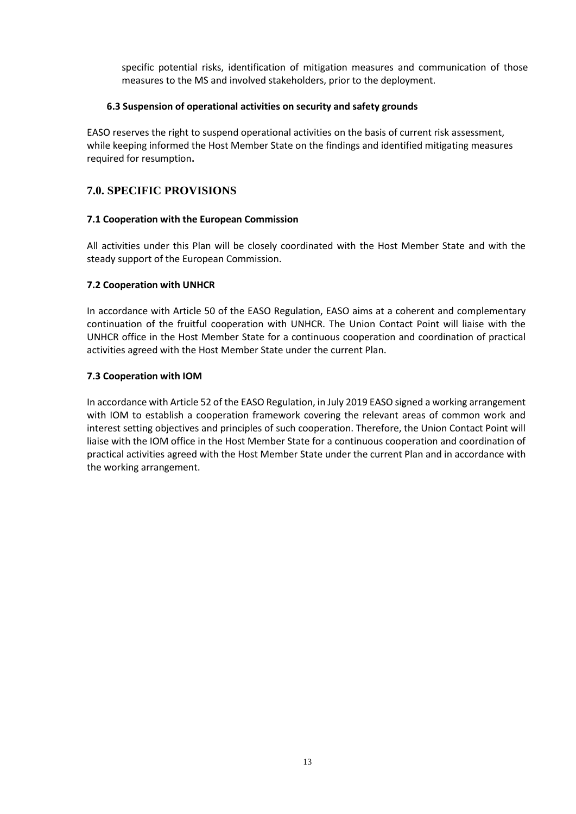specific potential risks, identification of mitigation measures and communication of those measures to the MS and involved stakeholders, prior to the deployment.

#### **6.3 Suspension of operational activities on security and safety grounds**

EASO reserves the right to suspend operational activities on the basis of current risk assessment, while keeping informed the Host Member State on the findings and identified mitigating measures required for resumption**.**

## **7.0. SPECIFIC PROVISIONS**

#### **7.1 Cooperation with the European Commission**

All activities under this Plan will be closely coordinated with the Host Member State and with the steady support of the European Commission.

#### **7.2 Cooperation with UNHCR**

In accordance with Article 50 of the EASO Regulation, EASO aims at a coherent and complementary continuation of the fruitful cooperation with UNHCR. The Union Contact Point will liaise with the UNHCR office in the Host Member State for a continuous cooperation and coordination of practical activities agreed with the Host Member State under the current Plan.

#### **7.3 Cooperation with IOM**

In accordance with Article 52 of the EASO Regulation, in July 2019 EASO signed a working arrangement with IOM to establish a cooperation framework covering the relevant areas of common work and interest setting objectives and principles of such cooperation. Therefore, the Union Contact Point will liaise with the IOM office in the Host Member State for a continuous cooperation and coordination of practical activities agreed with the Host Member State under the current Plan and in accordance with the working arrangement.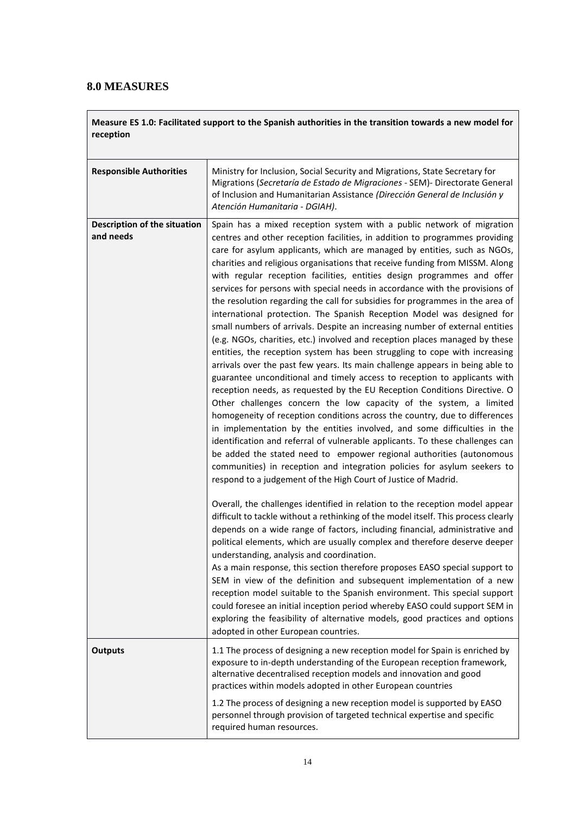# **8.0 MEASURES**

**Measure ES 1.0: Facilitated support to the Spanish authorities in the transition towards a new model for reception** 

| <b>Responsible Authorities</b>            | Ministry for Inclusion, Social Security and Migrations, State Secretary for<br>Migrations (Secretaría de Estado de Migraciones - SEM) - Directorate General<br>of Inclusion and Humanitarian Assistance (Dirección General de Inclusión y<br>Atención Humanitaria - DGIAH).                                                                                                                                                                                                                                                                                                                                                                                                                                                                                                                                                                                                                                                                                                                                                                                                                                                                                                                                                                                                                                                                                                                                                                                                                                                                                                                                                                                                                                                                                                                                                                                                                                                                                                                                                                                                                                                                                                                                                                                                                                                                                                                                                                                                                     |
|-------------------------------------------|-------------------------------------------------------------------------------------------------------------------------------------------------------------------------------------------------------------------------------------------------------------------------------------------------------------------------------------------------------------------------------------------------------------------------------------------------------------------------------------------------------------------------------------------------------------------------------------------------------------------------------------------------------------------------------------------------------------------------------------------------------------------------------------------------------------------------------------------------------------------------------------------------------------------------------------------------------------------------------------------------------------------------------------------------------------------------------------------------------------------------------------------------------------------------------------------------------------------------------------------------------------------------------------------------------------------------------------------------------------------------------------------------------------------------------------------------------------------------------------------------------------------------------------------------------------------------------------------------------------------------------------------------------------------------------------------------------------------------------------------------------------------------------------------------------------------------------------------------------------------------------------------------------------------------------------------------------------------------------------------------------------------------------------------------------------------------------------------------------------------------------------------------------------------------------------------------------------------------------------------------------------------------------------------------------------------------------------------------------------------------------------------------------------------------------------------------------------------------------------------------|
| Description of the situation<br>and needs | Spain has a mixed reception system with a public network of migration<br>centres and other reception facilities, in addition to programmes providing<br>care for asylum applicants, which are managed by entities, such as NGOs,<br>charities and religious organisations that receive funding from MISSM. Along<br>with regular reception facilities, entities design programmes and offer<br>services for persons with special needs in accordance with the provisions of<br>the resolution regarding the call for subsidies for programmes in the area of<br>international protection. The Spanish Reception Model was designed for<br>small numbers of arrivals. Despite an increasing number of external entities<br>(e.g. NGOs, charities, etc.) involved and reception places managed by these<br>entities, the reception system has been struggling to cope with increasing<br>arrivals over the past few years. Its main challenge appears in being able to<br>guarantee unconditional and timely access to reception to applicants with<br>reception needs, as requested by the EU Reception Conditions Directive. O<br>Other challenges concern the low capacity of the system, a limited<br>homogeneity of reception conditions across the country, due to differences<br>in implementation by the entities involved, and some difficulties in the<br>identification and referral of vulnerable applicants. To these challenges can<br>be added the stated need to empower regional authorities (autonomous<br>communities) in reception and integration policies for asylum seekers to<br>respond to a judgement of the High Court of Justice of Madrid.<br>Overall, the challenges identified in relation to the reception model appear<br>difficult to tackle without a rethinking of the model itself. This process clearly<br>depends on a wide range of factors, including financial, administrative and<br>political elements, which are usually complex and therefore deserve deeper<br>understanding, analysis and coordination.<br>As a main response, this section therefore proposes EASO special support to<br>SEM in view of the definition and subsequent implementation of a new<br>reception model suitable to the Spanish environment. This special support<br>could foresee an initial inception period whereby EASO could support SEM in<br>exploring the feasibility of alternative models, good practices and options<br>adopted in other European countries. |
| <b>Outputs</b>                            | 1.1 The process of designing a new reception model for Spain is enriched by<br>exposure to in-depth understanding of the European reception framework,<br>alternative decentralised reception models and innovation and good<br>practices within models adopted in other European countries<br>1.2 The process of designing a new reception model is supported by EASO<br>personnel through provision of targeted technical expertise and specific<br>required human resources.                                                                                                                                                                                                                                                                                                                                                                                                                                                                                                                                                                                                                                                                                                                                                                                                                                                                                                                                                                                                                                                                                                                                                                                                                                                                                                                                                                                                                                                                                                                                                                                                                                                                                                                                                                                                                                                                                                                                                                                                                 |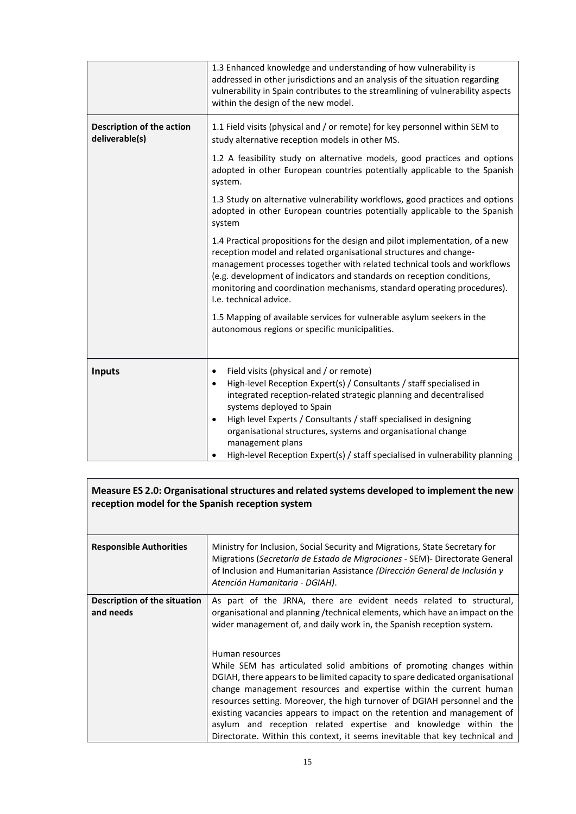|                                                    | 1.3 Enhanced knowledge and understanding of how vulnerability is<br>addressed in other jurisdictions and an analysis of the situation regarding<br>vulnerability in Spain contributes to the streamlining of vulnerability aspects<br>within the design of the new model.                                                                                                                                                                                                           |
|----------------------------------------------------|-------------------------------------------------------------------------------------------------------------------------------------------------------------------------------------------------------------------------------------------------------------------------------------------------------------------------------------------------------------------------------------------------------------------------------------------------------------------------------------|
| <b>Description of the action</b><br>deliverable(s) | 1.1 Field visits (physical and / or remote) for key personnel within SEM to<br>study alternative reception models in other MS.                                                                                                                                                                                                                                                                                                                                                      |
|                                                    | 1.2 A feasibility study on alternative models, good practices and options<br>adopted in other European countries potentially applicable to the Spanish<br>system.                                                                                                                                                                                                                                                                                                                   |
|                                                    | 1.3 Study on alternative vulnerability workflows, good practices and options<br>adopted in other European countries potentially applicable to the Spanish<br>system                                                                                                                                                                                                                                                                                                                 |
|                                                    | 1.4 Practical propositions for the design and pilot implementation, of a new<br>reception model and related organisational structures and change-<br>management processes together with related technical tools and workflows<br>(e.g. development of indicators and standards on reception conditions,<br>monitoring and coordination mechanisms, standard operating procedures).<br>I.e. technical advice.                                                                        |
|                                                    | 1.5 Mapping of available services for vulnerable asylum seekers in the<br>autonomous regions or specific municipalities.                                                                                                                                                                                                                                                                                                                                                            |
| <b>Inputs</b>                                      | Field visits (physical and / or remote)<br>$\bullet$<br>High-level Reception Expert(s) / Consultants / staff specialised in<br>$\bullet$<br>integrated reception-related strategic planning and decentralised<br>systems deployed to Spain<br>High level Experts / Consultants / staff specialised in designing<br>organisational structures, systems and organisational change<br>management plans<br>High-level Reception Expert(s) / staff specialised in vulnerability planning |

| Measure ES 2.0: Organisational structures and related systems developed to implement the new<br>reception model for the Spanish reception system |                                                                                                                                                                                                                                                                                                                                                                                                                                                                                                                                                            |
|--------------------------------------------------------------------------------------------------------------------------------------------------|------------------------------------------------------------------------------------------------------------------------------------------------------------------------------------------------------------------------------------------------------------------------------------------------------------------------------------------------------------------------------------------------------------------------------------------------------------------------------------------------------------------------------------------------------------|
| <b>Responsible Authorities</b>                                                                                                                   | Ministry for Inclusion, Social Security and Migrations, State Secretary for<br>Migrations (Secretaría de Estado de Migraciones - SEM) - Directorate General<br>of Inclusion and Humanitarian Assistance (Dirección General de Inclusión y<br>Atención Humanitaria - DGIAH).                                                                                                                                                                                                                                                                                |
| Description of the situation<br>and needs                                                                                                        | As part of the JRNA, there are evident needs related to structural,<br>organisational and planning / technical elements, which have an impact on the<br>wider management of, and daily work in, the Spanish reception system.                                                                                                                                                                                                                                                                                                                              |
|                                                                                                                                                  | Human resources<br>While SEM has articulated solid ambitions of promoting changes within<br>DGIAH, there appears to be limited capacity to spare dedicated organisational<br>change management resources and expertise within the current human<br>resources setting. Moreover, the high turnover of DGIAH personnel and the<br>existing vacancies appears to impact on the retention and management of<br>asylum and reception related expertise and knowledge within the<br>Directorate. Within this context, it seems inevitable that key technical and |

٦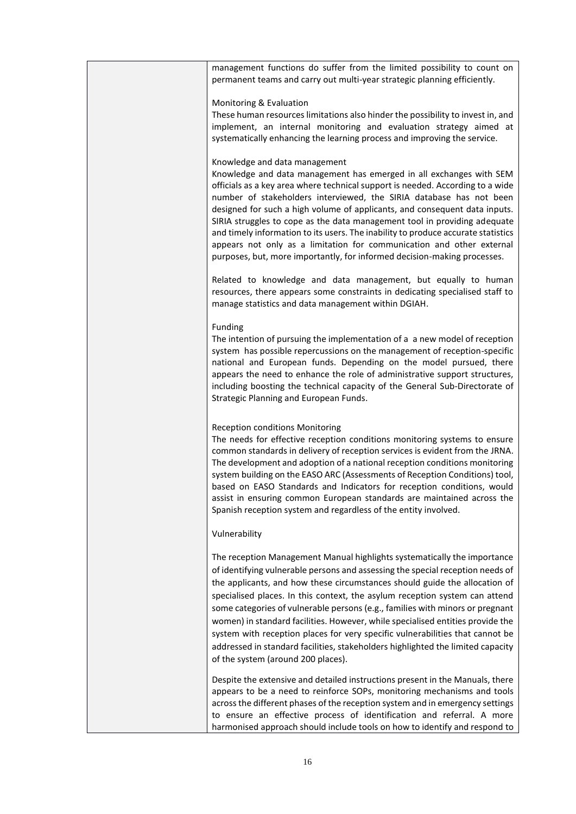| management functions do suffer from the limited possibility to count on<br>permanent teams and carry out multi-year strategic planning efficiently.                                                                                                                                                                                                                                                                                                                                                                                                                                                                                                                                                  |
|------------------------------------------------------------------------------------------------------------------------------------------------------------------------------------------------------------------------------------------------------------------------------------------------------------------------------------------------------------------------------------------------------------------------------------------------------------------------------------------------------------------------------------------------------------------------------------------------------------------------------------------------------------------------------------------------------|
| Monitoring & Evaluation<br>These human resources limitations also hinder the possibility to invest in, and<br>implement, an internal monitoring and evaluation strategy aimed at<br>systematically enhancing the learning process and improving the service.                                                                                                                                                                                                                                                                                                                                                                                                                                         |
| Knowledge and data management<br>Knowledge and data management has emerged in all exchanges with SEM<br>officials as a key area where technical support is needed. According to a wide<br>number of stakeholders interviewed, the SIRIA database has not been<br>designed for such a high volume of applicants, and consequent data inputs.<br>SIRIA struggles to cope as the data management tool in providing adequate<br>and timely information to its users. The inability to produce accurate statistics<br>appears not only as a limitation for communication and other external<br>purposes, but, more importantly, for informed decision-making processes.                                   |
| Related to knowledge and data management, but equally to human<br>resources, there appears some constraints in dedicating specialised staff to<br>manage statistics and data management within DGIAH.                                                                                                                                                                                                                                                                                                                                                                                                                                                                                                |
| Funding<br>The intention of pursuing the implementation of a a new model of reception<br>system has possible repercussions on the management of reception-specific<br>national and European funds. Depending on the model pursued, there<br>appears the need to enhance the role of administrative support structures,<br>including boosting the technical capacity of the General Sub-Directorate of<br>Strategic Planning and European Funds.                                                                                                                                                                                                                                                      |
| <b>Reception conditions Monitoring</b><br>The needs for effective reception conditions monitoring systems to ensure<br>common standards in delivery of reception services is evident from the JRNA.<br>The development and adoption of a national reception conditions monitoring<br>system building on the EASO ARC (Assessments of Reception Conditions) tool,<br>based on EASO Standards and Indicators for reception conditions, would<br>assist in ensuring common European standards are maintained across the<br>Spanish reception system and regardless of the entity involved.                                                                                                              |
| Vulnerability                                                                                                                                                                                                                                                                                                                                                                                                                                                                                                                                                                                                                                                                                        |
| The reception Management Manual highlights systematically the importance<br>of identifying vulnerable persons and assessing the special reception needs of<br>the applicants, and how these circumstances should guide the allocation of<br>specialised places. In this context, the asylum reception system can attend<br>some categories of vulnerable persons (e.g., families with minors or pregnant<br>women) in standard facilities. However, while specialised entities provide the<br>system with reception places for very specific vulnerabilities that cannot be<br>addressed in standard facilities, stakeholders highlighted the limited capacity<br>of the system (around 200 places). |
| Despite the extensive and detailed instructions present in the Manuals, there<br>appears to be a need to reinforce SOPs, monitoring mechanisms and tools<br>across the different phases of the reception system and in emergency settings<br>to ensure an effective process of identification and referral. A more<br>harmonised approach should include tools on how to identify and respond to                                                                                                                                                                                                                                                                                                     |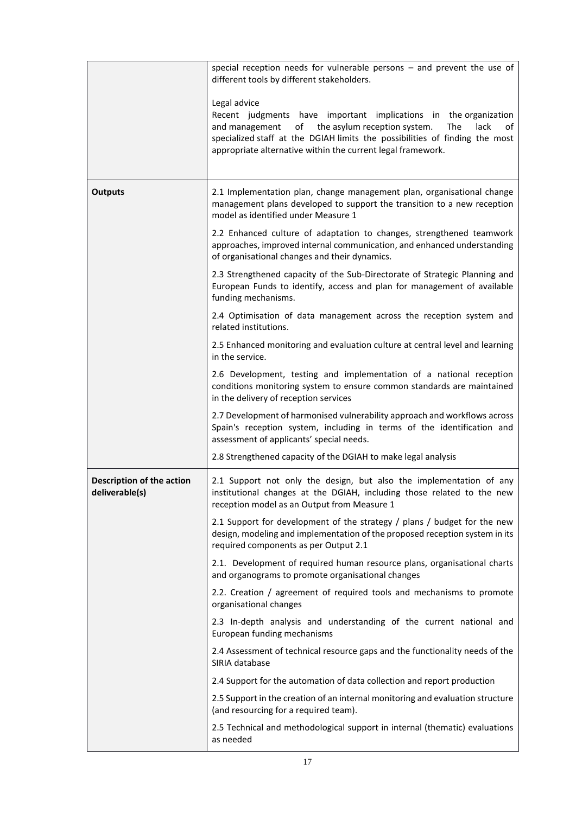|                                             | special reception needs for vulnerable persons $-$ and prevent the use of<br>different tools by different stakeholders.                                                                                                                                                                                     |
|---------------------------------------------|-------------------------------------------------------------------------------------------------------------------------------------------------------------------------------------------------------------------------------------------------------------------------------------------------------------|
|                                             | Legal advice<br>Recent judgments have important implications in the organization<br>the asylum reception system.<br>and management<br>of<br>The<br>lack<br>οf<br>specialized staff at the DGIAH limits the possibilities of finding the most<br>appropriate alternative within the current legal framework. |
| <b>Outputs</b>                              | 2.1 Implementation plan, change management plan, organisational change<br>management plans developed to support the transition to a new reception<br>model as identified under Measure 1                                                                                                                    |
|                                             | 2.2 Enhanced culture of adaptation to changes, strengthened teamwork<br>approaches, improved internal communication, and enhanced understanding<br>of organisational changes and their dynamics.                                                                                                            |
|                                             | 2.3 Strengthened capacity of the Sub-Directorate of Strategic Planning and<br>European Funds to identify, access and plan for management of available<br>funding mechanisms.                                                                                                                                |
|                                             | 2.4 Optimisation of data management across the reception system and<br>related institutions.                                                                                                                                                                                                                |
|                                             | 2.5 Enhanced monitoring and evaluation culture at central level and learning<br>in the service.                                                                                                                                                                                                             |
|                                             | 2.6 Development, testing and implementation of a national reception<br>conditions monitoring system to ensure common standards are maintained<br>in the delivery of reception services                                                                                                                      |
|                                             | 2.7 Development of harmonised vulnerability approach and workflows across<br>Spain's reception system, including in terms of the identification and<br>assessment of applicants' special needs.                                                                                                             |
|                                             | 2.8 Strengthened capacity of the DGIAH to make legal analysis                                                                                                                                                                                                                                               |
| Description of the action<br>deliverable(s) | 2.1 Support not only the design, but also the implementation of any<br>institutional changes at the DGIAH, including those related to the new<br>reception model as an Output from Measure 1                                                                                                                |
|                                             | 2.1 Support for development of the strategy / plans / budget for the new<br>design, modeling and implementation of the proposed reception system in its<br>required components as per Output 2.1                                                                                                            |
|                                             | 2.1. Development of required human resource plans, organisational charts<br>and organograms to promote organisational changes                                                                                                                                                                               |
|                                             | 2.2. Creation / agreement of required tools and mechanisms to promote<br>organisational changes                                                                                                                                                                                                             |
|                                             | 2.3 In-depth analysis and understanding of the current national and<br>European funding mechanisms                                                                                                                                                                                                          |
|                                             | 2.4 Assessment of technical resource gaps and the functionality needs of the<br>SIRIA database                                                                                                                                                                                                              |
|                                             | 2.4 Support for the automation of data collection and report production                                                                                                                                                                                                                                     |
|                                             | 2.5 Support in the creation of an internal monitoring and evaluation structure<br>(and resourcing for a required team).                                                                                                                                                                                     |
|                                             | 2.5 Technical and methodological support in internal (thematic) evaluations<br>as needed                                                                                                                                                                                                                    |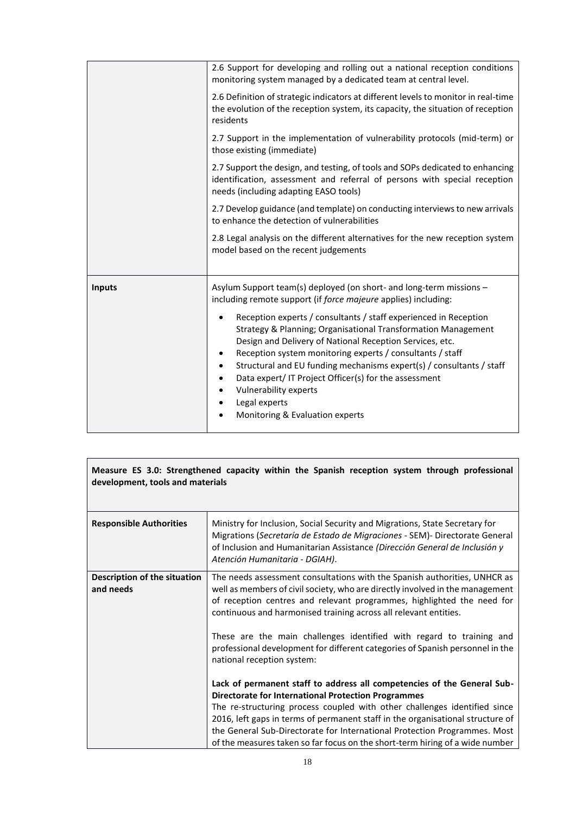|        | 2.6 Support for developing and rolling out a national reception conditions<br>monitoring system managed by a dedicated team at central level.                                                                                                                                                                                                                                                                                                                                                     |
|--------|---------------------------------------------------------------------------------------------------------------------------------------------------------------------------------------------------------------------------------------------------------------------------------------------------------------------------------------------------------------------------------------------------------------------------------------------------------------------------------------------------|
|        | 2.6 Definition of strategic indicators at different levels to monitor in real-time<br>the evolution of the reception system, its capacity, the situation of reception<br>residents                                                                                                                                                                                                                                                                                                                |
|        | 2.7 Support in the implementation of vulnerability protocols (mid-term) or<br>those existing (immediate)                                                                                                                                                                                                                                                                                                                                                                                          |
|        | 2.7 Support the design, and testing, of tools and SOPs dedicated to enhancing<br>identification, assessment and referral of persons with special reception<br>needs (including adapting EASO tools)                                                                                                                                                                                                                                                                                               |
|        | 2.7 Develop guidance (and template) on conducting interviews to new arrivals<br>to enhance the detection of vulnerabilities                                                                                                                                                                                                                                                                                                                                                                       |
|        | 2.8 Legal analysis on the different alternatives for the new reception system<br>model based on the recent judgements                                                                                                                                                                                                                                                                                                                                                                             |
| Inputs | Asylum Support team(s) deployed (on short- and long-term missions -<br>including remote support (if force majeure applies) including:                                                                                                                                                                                                                                                                                                                                                             |
|        | Reception experts / consultants / staff experienced in Reception<br>$\bullet$<br>Strategy & Planning; Organisational Transformation Management<br>Design and Delivery of National Reception Services, etc.<br>Reception system monitoring experts / consultants / staff<br>Structural and EU funding mechanisms expert(s) / consultants / staff<br>Data expert/IT Project Officer(s) for the assessment<br>$\bullet$<br>Vulnerability experts<br>Legal experts<br>Monitoring & Evaluation experts |

| Measure ES 3.0: Strengthened capacity within the Spanish reception system through professional<br>development, tools and materials |                                                                                                                                                                                                                                                                                                                                                                                                                                                                   |
|------------------------------------------------------------------------------------------------------------------------------------|-------------------------------------------------------------------------------------------------------------------------------------------------------------------------------------------------------------------------------------------------------------------------------------------------------------------------------------------------------------------------------------------------------------------------------------------------------------------|
| <b>Responsible Authorities</b>                                                                                                     | Ministry for Inclusion, Social Security and Migrations, State Secretary for<br>Migrations (Secretaría de Estado de Migraciones - SEM) - Directorate General<br>of Inclusion and Humanitarian Assistance (Dirección General de Inclusión y<br>Atención Humanitaria - DGIAH).                                                                                                                                                                                       |
| Description of the situation<br>and needs                                                                                          | The needs assessment consultations with the Spanish authorities, UNHCR as<br>well as members of civil society, who are directly involved in the management<br>of reception centres and relevant programmes, highlighted the need for<br>continuous and harmonised training across all relevant entities.                                                                                                                                                          |
|                                                                                                                                    | These are the main challenges identified with regard to training and<br>professional development for different categories of Spanish personnel in the<br>national reception system:                                                                                                                                                                                                                                                                               |
|                                                                                                                                    | Lack of permanent staff to address all competencies of the General Sub-<br><b>Directorate for International Protection Programmes</b><br>The re-structuring process coupled with other challenges identified since<br>2016, left gaps in terms of permanent staff in the organisational structure of<br>the General Sub-Directorate for International Protection Programmes. Most<br>of the measures taken so far focus on the short-term hiring of a wide number |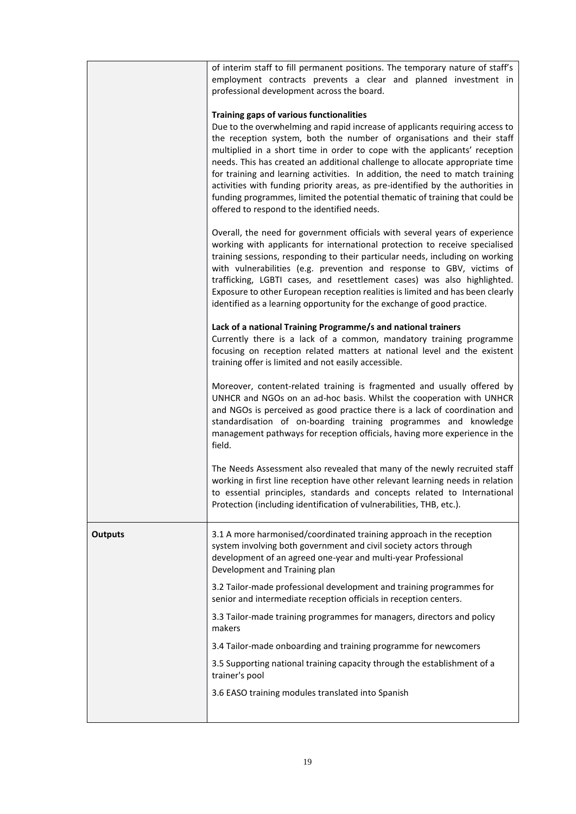|                | of interim staff to fill permanent positions. The temporary nature of staff's<br>employment contracts prevents a clear and planned investment in<br>professional development across the board.                                                                                                                                                                                                                                                                                                                                                                                                                                                                      |
|----------------|---------------------------------------------------------------------------------------------------------------------------------------------------------------------------------------------------------------------------------------------------------------------------------------------------------------------------------------------------------------------------------------------------------------------------------------------------------------------------------------------------------------------------------------------------------------------------------------------------------------------------------------------------------------------|
|                | Training gaps of various functionalities<br>Due to the overwhelming and rapid increase of applicants requiring access to<br>the reception system, both the number of organisations and their staff<br>multiplied in a short time in order to cope with the applicants' reception<br>needs. This has created an additional challenge to allocate appropriate time<br>for training and learning activities. In addition, the need to match training<br>activities with funding priority areas, as pre-identified by the authorities in<br>funding programmes, limited the potential thematic of training that could be<br>offered to respond to the identified needs. |
|                | Overall, the need for government officials with several years of experience<br>working with applicants for international protection to receive specialised<br>training sessions, responding to their particular needs, including on working<br>with vulnerabilities (e.g. prevention and response to GBV, victims of<br>trafficking, LGBTI cases, and resettlement cases) was also highlighted.<br>Exposure to other European reception realities is limited and has been clearly<br>identified as a learning opportunity for the exchange of good practice.                                                                                                        |
|                | Lack of a national Training Programme/s and national trainers<br>Currently there is a lack of a common, mandatory training programme<br>focusing on reception related matters at national level and the existent<br>training offer is limited and not easily accessible.                                                                                                                                                                                                                                                                                                                                                                                            |
|                | Moreover, content-related training is fragmented and usually offered by<br>UNHCR and NGOs on an ad-hoc basis. Whilst the cooperation with UNHCR<br>and NGOs is perceived as good practice there is a lack of coordination and<br>standardisation of on-boarding training programmes and knowledge<br>management pathways for reception officials, having more experience in the<br>field.                                                                                                                                                                                                                                                                           |
|                | The Needs Assessment also revealed that many of the newly recruited staff<br>working in first line reception have other relevant learning needs in relation<br>to essential principles, standards and concepts related to International<br>Protection (including identification of vulnerabilities, THB, etc.).                                                                                                                                                                                                                                                                                                                                                     |
| <b>Outputs</b> | 3.1 A more harmonised/coordinated training approach in the reception<br>system involving both government and civil society actors through<br>development of an agreed one-year and multi-year Professional<br>Development and Training plan                                                                                                                                                                                                                                                                                                                                                                                                                         |
|                | 3.2 Tailor-made professional development and training programmes for<br>senior and intermediate reception officials in reception centers.                                                                                                                                                                                                                                                                                                                                                                                                                                                                                                                           |
|                | 3.3 Tailor-made training programmes for managers, directors and policy<br>makers                                                                                                                                                                                                                                                                                                                                                                                                                                                                                                                                                                                    |
|                | 3.4 Tailor-made onboarding and training programme for newcomers                                                                                                                                                                                                                                                                                                                                                                                                                                                                                                                                                                                                     |
|                | 3.5 Supporting national training capacity through the establishment of a<br>trainer's pool                                                                                                                                                                                                                                                                                                                                                                                                                                                                                                                                                                          |
|                | 3.6 EASO training modules translated into Spanish                                                                                                                                                                                                                                                                                                                                                                                                                                                                                                                                                                                                                   |
|                |                                                                                                                                                                                                                                                                                                                                                                                                                                                                                                                                                                                                                                                                     |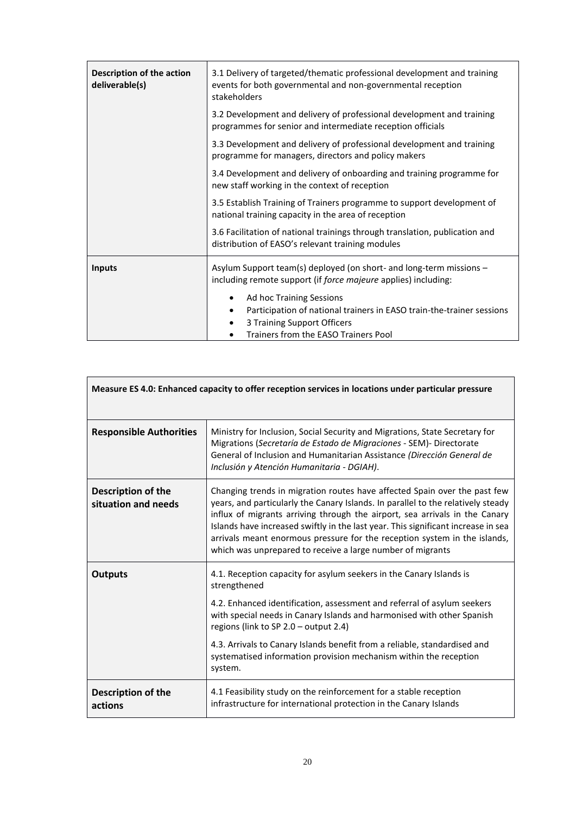| Description of the action<br>deliverable(s) | 3.1 Delivery of targeted/thematic professional development and training<br>events for both governmental and non-governmental reception<br>stakeholders |
|---------------------------------------------|--------------------------------------------------------------------------------------------------------------------------------------------------------|
|                                             | 3.2 Development and delivery of professional development and training<br>programmes for senior and intermediate reception officials                    |
|                                             | 3.3 Development and delivery of professional development and training<br>programme for managers, directors and policy makers                           |
|                                             | 3.4 Development and delivery of onboarding and training programme for<br>new staff working in the context of reception                                 |
|                                             | 3.5 Establish Training of Trainers programme to support development of<br>national training capacity in the area of reception                          |
|                                             | 3.6 Facilitation of national trainings through translation, publication and<br>distribution of EASO's relevant training modules                        |
| <b>Inputs</b>                               | Asylum Support team(s) deployed (on short- and long-term missions -<br>including remote support (if force majeure applies) including:                  |
|                                             | Ad hoc Training Sessions                                                                                                                               |
|                                             | Participation of national trainers in EASO train-the-trainer sessions                                                                                  |
|                                             | 3 Training Support Officers<br>Trainers from the EASO Trainers Pool                                                                                    |
|                                             |                                                                                                                                                        |

| Measure ES 4.0: Enhanced capacity to offer reception services in locations under particular pressure |                                                                                                                                                                                                                                                                                                                                                                                                                                                                              |
|------------------------------------------------------------------------------------------------------|------------------------------------------------------------------------------------------------------------------------------------------------------------------------------------------------------------------------------------------------------------------------------------------------------------------------------------------------------------------------------------------------------------------------------------------------------------------------------|
| <b>Responsible Authorities</b>                                                                       | Ministry for Inclusion, Social Security and Migrations, State Secretary for<br>Migrations (Secretaría de Estado de Migraciones - SEM)- Directorate<br>General of Inclusion and Humanitarian Assistance (Dirección General de<br>Inclusión y Atención Humanitaria - DGIAH).                                                                                                                                                                                                   |
| Description of the<br>situation and needs                                                            | Changing trends in migration routes have affected Spain over the past few<br>years, and particularly the Canary Islands. In parallel to the relatively steady<br>influx of migrants arriving through the airport, sea arrivals in the Canary<br>Islands have increased swiftly in the last year. This significant increase in sea<br>arrivals meant enormous pressure for the reception system in the islands,<br>which was unprepared to receive a large number of migrants |
| <b>Outputs</b>                                                                                       | 4.1. Reception capacity for asylum seekers in the Canary Islands is<br>strengthened<br>4.2. Enhanced identification, assessment and referral of asylum seekers<br>with special needs in Canary Islands and harmonised with other Spanish<br>regions (link to SP 2.0 - output 2.4)<br>4.3. Arrivals to Canary Islands benefit from a reliable, standardised and<br>systematised information provision mechanism within the reception<br>system.                               |
| Description of the<br>actions                                                                        | 4.1 Feasibility study on the reinforcement for a stable reception<br>infrastructure for international protection in the Canary Islands                                                                                                                                                                                                                                                                                                                                       |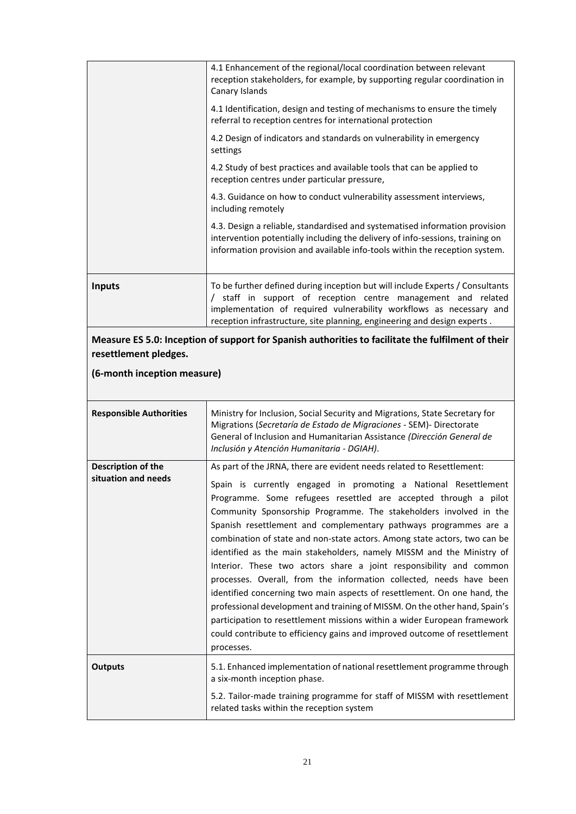| <b>Inputs</b> | To be further defined during inception but will include Experts / Consultants<br>staff in support of reception centre management and related<br>implementation of required vulnerability workflows as necessary and<br>reception infrastructure, site planning, engineering and design experts. |
|---------------|-------------------------------------------------------------------------------------------------------------------------------------------------------------------------------------------------------------------------------------------------------------------------------------------------|
|               | 4.3. Design a reliable, standardised and systematised information provision<br>intervention potentially including the delivery of info-sessions, training on<br>information provision and available info-tools within the reception system.                                                     |
|               | 4.3. Guidance on how to conduct vulnerability assessment interviews,<br>including remotely                                                                                                                                                                                                      |
|               | 4.2 Study of best practices and available tools that can be applied to<br>reception centres under particular pressure,                                                                                                                                                                          |
|               | 4.2 Design of indicators and standards on vulnerability in emergency<br>settings                                                                                                                                                                                                                |
|               | 4.1 Identification, design and testing of mechanisms to ensure the timely<br>referral to reception centres for international protection                                                                                                                                                         |
|               | 4.1 Enhancement of the regional/local coordination between relevant<br>reception stakeholders, for example, by supporting regular coordination in<br>Canary Islands                                                                                                                             |
|               |                                                                                                                                                                                                                                                                                                 |

**Measure ES 5.0: Inception of support for Spanish authorities to facilitate the fulfilment of their resettlement pledges.**

# **(6-month inception measure)**

| <b>Responsible Authorities</b>            | Ministry for Inclusion, Social Security and Migrations, State Secretary for<br>Migrations (Secretaría de Estado de Migraciones - SEM)- Directorate<br>General of Inclusion and Humanitarian Assistance (Dirección General de<br>Inclusión y Atención Humanitaria - DGIAH).                                                                                                                                                                                                                                                                                                                                                                                                                                                                                                                                                                                                                                                                                                               |
|-------------------------------------------|------------------------------------------------------------------------------------------------------------------------------------------------------------------------------------------------------------------------------------------------------------------------------------------------------------------------------------------------------------------------------------------------------------------------------------------------------------------------------------------------------------------------------------------------------------------------------------------------------------------------------------------------------------------------------------------------------------------------------------------------------------------------------------------------------------------------------------------------------------------------------------------------------------------------------------------------------------------------------------------|
| Description of the<br>situation and needs | As part of the JRNA, there are evident needs related to Resettlement:<br>Spain is currently engaged in promoting a National Resettlement<br>Programme. Some refugees resettled are accepted through a pilot<br>Community Sponsorship Programme. The stakeholders involved in the<br>Spanish resettlement and complementary pathways programmes are a<br>combination of state and non-state actors. Among state actors, two can be<br>identified as the main stakeholders, namely MISSM and the Ministry of<br>Interior. These two actors share a joint responsibility and common<br>processes. Overall, from the information collected, needs have been<br>identified concerning two main aspects of resettlement. On one hand, the<br>professional development and training of MISSM. On the other hand, Spain's<br>participation to resettlement missions within a wider European framework<br>could contribute to efficiency gains and improved outcome of resettlement<br>processes. |
| <b>Outputs</b>                            | 5.1. Enhanced implementation of national resettlement programme through<br>a six-month inception phase.<br>5.2. Tailor-made training programme for staff of MISSM with resettlement<br>related tasks within the reception system                                                                                                                                                                                                                                                                                                                                                                                                                                                                                                                                                                                                                                                                                                                                                         |